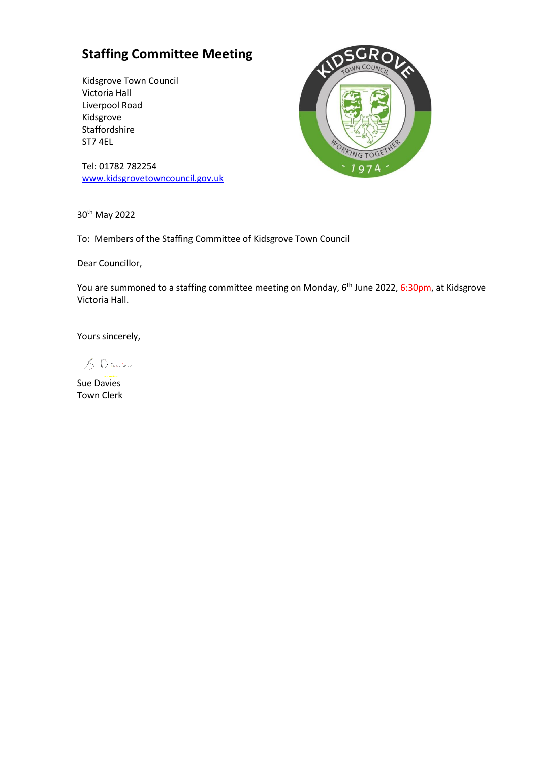## **Staffing Committee Meeting**

Kidsgrove Town Council Victoria Hall Liverpool Road Kidsgrove Staffordshire ST7 4EL



Tel: 01782 782254 [www.kidsgrovetowncouncil.gov.uk](http://www.kidsgrovetowncouncil.gov.uk/)

30th May 2022

To: Members of the Staffing Committee of Kidsgrove Town Council

Dear Councillor,

You are summoned to a staffing committee meeting on Monday, 6<sup>th</sup> June 2022, 6:30pm, at Kidsgrove Victoria Hall.

Yours sincerely,

 $80$  Cwico

Sue Davies Town Clerk